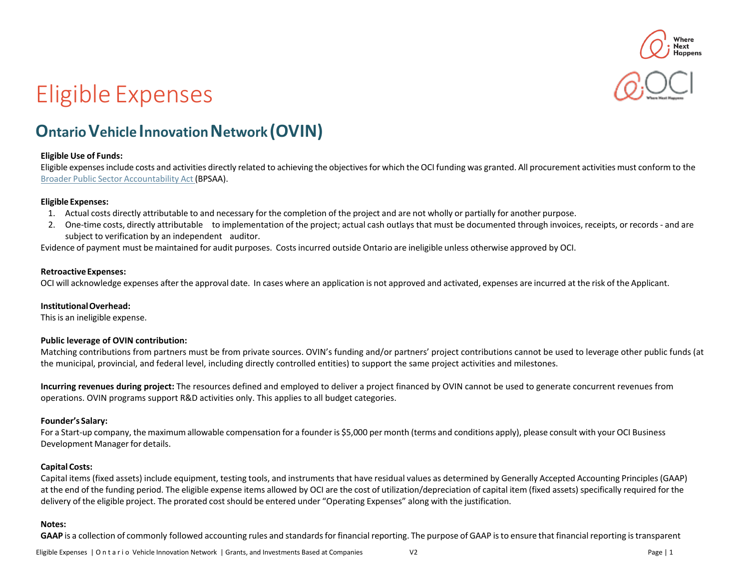

# Eligible Expenses

# **Ontario Vehicle Innovation Network (OVIN)**

#### **Eligible Use of Funds:**

Eligible expensesinclude costs and activities directly related to achieving the objectivesfor which the OCI funding was granted. All procurement activities must conform to the Broader Public Sector [Accountability](http://www.ontario.ca/laws/statute/10b25) Act (BPSAA).

#### **Eligible Expenses:**

- 1. Actual costs directly attributable to and necessary for the completion of the project and are not wholly or partially for another purpose.
- 2. One-time costs, directly attributable to implementation of the project; actual cash outlays that must be documented through invoices, receipts, or records and are subject to verification by an independent auditor.

Evidence of payment must be maintained for audit purposes. Costsincurred outside Ontario are ineligible unless otherwise approved by OCI.

#### **Retroactive Expenses:**

OCI will acknowledge expenses after the approval date. In cases where an application is not approved and activated, expenses are incurred at the risk of the Applicant.

#### **Institutional Overhead:**

This is an ineligible expense.

#### **Public leverage of OVIN contribution:**

Matching contributions from partners must be from private sources. OVIN's funding and/or partners' project contributions cannot be used to leverage other public funds (at the municipal, provincial, and federal level, including directly controlled entities) to support the same project activities and milestones.

**Incurring revenues during project:** The resources defined and employed to deliver a project financed by OVIN cannot be used to generate concurrent revenues from operations. OVIN programs support R&D activities only. This applies to all budget categories.

#### **Founder's Salary:**

For a Start-up company, the maximum allowable compensation for a founder is \$5,000 per month (terms and conditions apply), please consult with your OCI Business Development Manager for details.

#### **Capital Costs:**

Capital items (fixed assets) include equipment, testing tools, and instruments that have residual values as determined by Generally Accepted Accounting Principles (GAAP) at the end of the funding period. The eligible expense items allowed by OCI are the cost of utilization/depreciation of capital item (fixed assets) specifically required for the delivery of the eligible project. The prorated cost should be entered under "Operating Expenses" along with the justification.

#### **Notes:**

**GAAP** is a collection of commonly followed accounting rules and standards for financialreporting. The purpose of GAAP is to ensure that financial reporting istransparent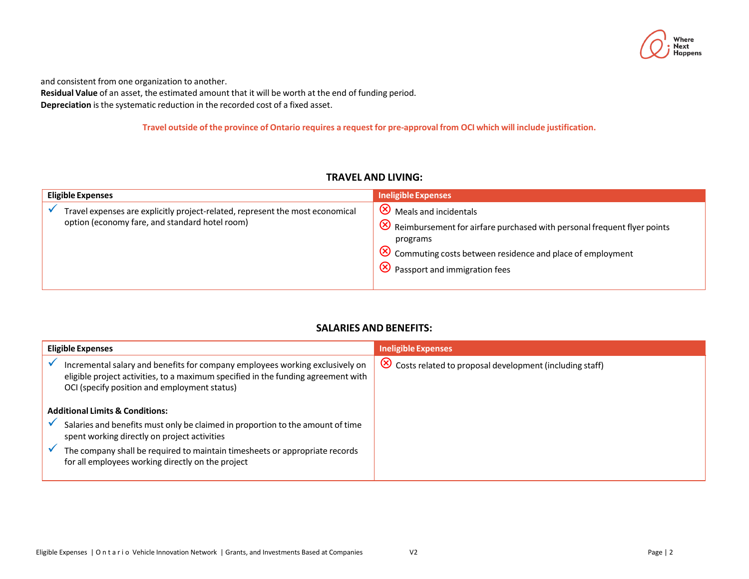

and consistent from one organization to another.

**Residual Value** of an asset, the estimated amount that it will be worth at the end of funding period. **Depreciation** is the systematic reduction in the recorded cost of a fixed asset.

Travel outside of the province of Ontario requires a request for pre-approval from OCI which will include justification.

### **TRAVEL AND LIVING:**

| <b>Eligible Expenses</b>                                                                                                        | Ineligible Expenses                                                                                                                                                                                                                                      |
|---------------------------------------------------------------------------------------------------------------------------------|----------------------------------------------------------------------------------------------------------------------------------------------------------------------------------------------------------------------------------------------------------|
| Travel expenses are explicitly project-related, represent the most economical<br>option (economy fare, and standard hotel room) | $\sqrt{8}$ Meals and incidentals<br>$\bigotimes$ Reimbursement for airfare purchased with personal frequent flyer points<br>programs<br>$\sqrt{8}$ Commuting costs between residence and place of employment<br>$\sqrt{8}$ Passport and immigration fees |

# **SALARIES AND BENEFITS:**

| <b>Eligible Expenses</b>                                                                                                                                                                                          | Ineligible Expenses                                                    |
|-------------------------------------------------------------------------------------------------------------------------------------------------------------------------------------------------------------------|------------------------------------------------------------------------|
| Incremental salary and benefits for company employees working exclusively on<br>eligible project activities, to a maximum specified in the funding agreement with<br>OCI (specify position and employment status) | $\circledR$<br>Costs related to proposal development (including staff) |
| <b>Additional Limits &amp; Conditions:</b>                                                                                                                                                                        |                                                                        |
| Salaries and benefits must only be claimed in proportion to the amount of time<br>spent working directly on project activities                                                                                    |                                                                        |
| The company shall be required to maintain timesheets or appropriate records<br>for all employees working directly on the project                                                                                  |                                                                        |